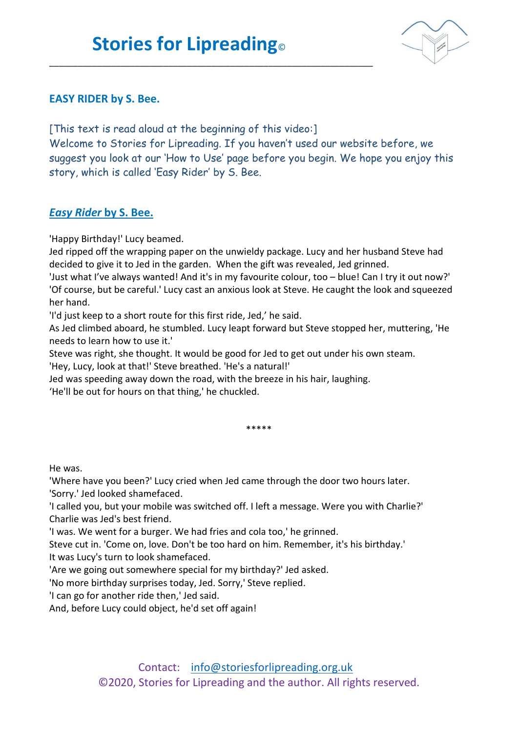\_\_\_\_\_\_\_\_\_\_\_\_\_\_\_\_\_\_\_\_\_\_\_\_\_\_\_\_\_\_\_\_\_\_\_\_\_\_\_\_\_\_\_\_\_\_\_\_\_\_\_\_\_\_\_\_\_\_\_\_\_\_\_\_\_\_\_\_



## **EASY RIDER by S. Bee.**

[This text is read aloud at the beginning of this video:]

Welcome to Stories for Lipreading. If you haven't used our website before, we suggest you look at our 'How to Use' page before you begin. We hope you enjoy this story, which is called 'Easy Rider' by S. Bee.

## *Easy Rider* **by S. Bee.**

'Happy Birthday!' Lucy beamed.

Jed ripped off the wrapping paper on the unwieldy package. Lucy and her husband Steve had decided to give it to Jed in the garden. When the gift was revealed, Jed grinned.

'Just what I've always wanted! And it's in my favourite colour, too – blue! Can I try it out now?' 'Of course, but be careful.' Lucy cast an anxious look at Steve. He caught the look and squeezed her hand.

'I'd just keep to a short route for this first ride, Jed,' he said.

As Jed climbed aboard, he stumbled. Lucy leapt forward but Steve stopped her, muttering, 'He needs to learn how to use it.'

Steve was right, she thought. It would be good for Jed to get out under his own steam.

'Hey, Lucy, look at that!' Steve breathed. 'He's a natural!'

Jed was speeding away down the road, with the breeze in his hair, laughing.

'He'll be out for hours on that thing,' he chuckled.

\*\*\*\*\*

He was.

'Where have you been?' Lucy cried when Jed came through the door two hours later. 'Sorry.' Jed looked shamefaced.

'I called you, but your mobile was switched off. I left a message. Were you with Charlie?' Charlie was Jed's best friend.

'I was. We went for a burger. We had fries and cola too,' he grinned.

Steve cut in. 'Come on, love. Don't be too hard on him. Remember, it's his birthday.' It was Lucy's turn to look shamefaced.

'Are we going out somewhere special for my birthday?' Jed asked.

'No more birthday surprises today, Jed. Sorry,' Steve replied.

'I can go for another ride then,' Jed said.

And, before Lucy could object, he'd set off again!